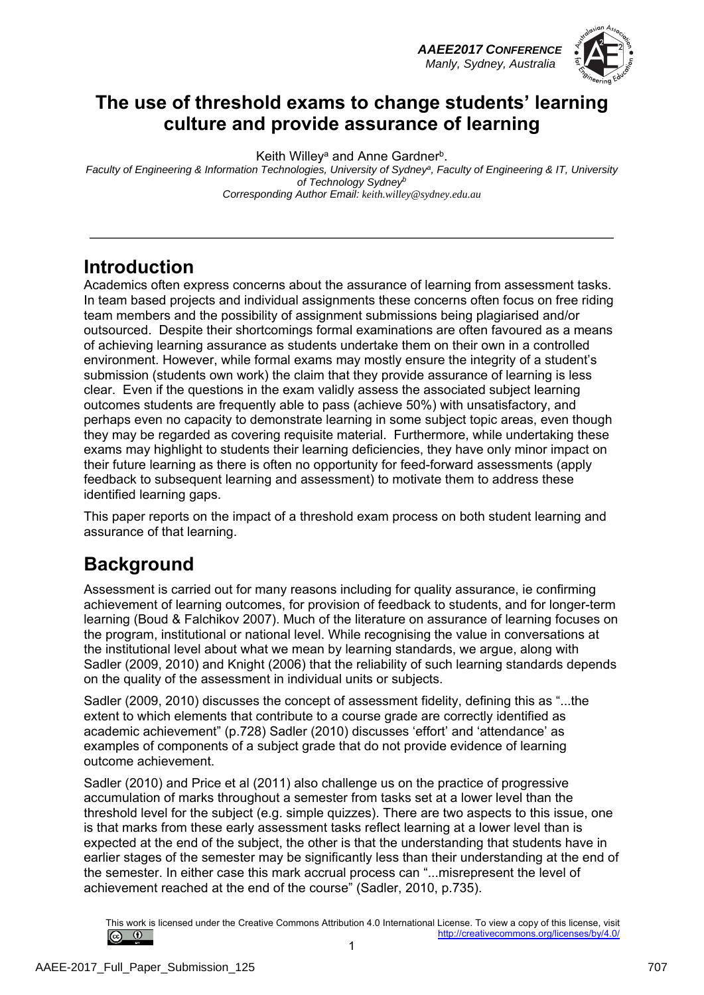*AAEE2017 CONFERENCE Manly, Sydney, Australia*



## **The use of threshold exams to change students' learning culture and provide assurance of learning**

Keith Willey<sup>a</sup> and Anne Gardner<sup>b</sup>.

*Faculty of Engineering & Information Technologies, University of Sydneya, Faculty of Engineering & IT, University of Technology Sydneyb Corresponding Author Email: keith.willey@sydney.edu.au* 

### **Introduction**

Academics often express concerns about the assurance of learning from assessment tasks. In team based projects and individual assignments these concerns often focus on free riding team members and the possibility of assignment submissions being plagiarised and/or outsourced. Despite their shortcomings formal examinations are often favoured as a means of achieving learning assurance as students undertake them on their own in a controlled environment. However, while formal exams may mostly ensure the integrity of a student's submission (students own work) the claim that they provide assurance of learning is less clear. Even if the questions in the exam validly assess the associated subject learning outcomes students are frequently able to pass (achieve 50%) with unsatisfactory, and perhaps even no capacity to demonstrate learning in some subject topic areas, even though they may be regarded as covering requisite material. Furthermore, while undertaking these exams may highlight to students their learning deficiencies, they have only minor impact on their future learning as there is often no opportunity for feed-forward assessments (apply feedback to subsequent learning and assessment) to motivate them to address these identified learning gaps.

This paper reports on the impact of a threshold exam process on both student learning and assurance of that learning.

# **Background**

Assessment is carried out for many reasons including for quality assurance, ie confirming achievement of learning outcomes, for provision of feedback to students, and for longer-term learning (Boud & Falchikov 2007). Much of the literature on assurance of learning focuses on the program, institutional or national level. While recognising the value in conversations at the institutional level about what we mean by learning standards, we argue, along with Sadler (2009, 2010) and Knight (2006) that the reliability of such learning standards depends on the quality of the assessment in individual units or subjects.

Sadler (2009, 2010) discusses the concept of assessment fidelity, defining this as "...the extent to which elements that contribute to a course grade are correctly identified as academic achievement" (p.728) Sadler (2010) discusses 'effort' and 'attendance' as examples of components of a subject grade that do not provide evidence of learning outcome achievement.

Sadler (2010) and Price et al (2011) also challenge us on the practice of progressive accumulation of marks throughout a semester from tasks set at a lower level than the threshold level for the subject (e.g. simple quizzes). There are two aspects to this issue, one is that marks from these early assessment tasks reflect learning at a lower level than is expected at the end of the subject, the other is that the understanding that students have in earlier stages of the semester may be significantly less than their understanding at the end of the semester. In either case this mark accrual process can "...misrepresent the level of achievement reached at the end of the course" (Sadler, 2010, p.735).

This work is licensed under the Creative Commons Attribution 4.0 International License. To view a copy of this license, visit  $\circ$   $\circ$ http://creativecommons.org/licenses/by/4.0/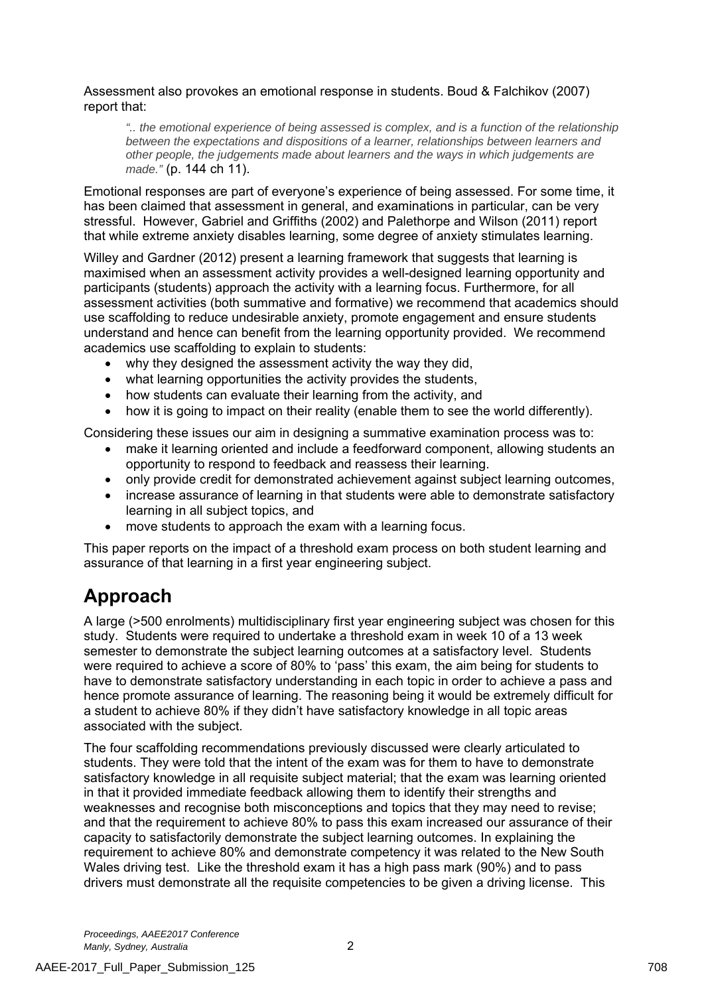Assessment also provokes an emotional response in students. Boud & Falchikov (2007) report that:

*".. the emotional experience of being assessed is complex, and is a function of the relationship between the expectations and dispositions of a learner, relationships between learners and other people, the judgements made about learners and the ways in which judgements are made."* (p. 144 ch 11).

Emotional responses are part of everyone's experience of being assessed. For some time, it has been claimed that assessment in general, and examinations in particular, can be very stressful. However, Gabriel and Griffiths (2002) and Palethorpe and Wilson (2011) report that while extreme anxiety disables learning, some degree of anxiety stimulates learning.

Willey and Gardner (2012) present a learning framework that suggests that learning is maximised when an assessment activity provides a well-designed learning opportunity and participants (students) approach the activity with a learning focus. Furthermore, for all assessment activities (both summative and formative) we recommend that academics should use scaffolding to reduce undesirable anxiety, promote engagement and ensure students understand and hence can benefit from the learning opportunity provided. We recommend academics use scaffolding to explain to students:

- why they designed the assessment activity the way they did,
- what learning opportunities the activity provides the students,
- how students can evaluate their learning from the activity, and
- how it is going to impact on their reality (enable them to see the world differently).

Considering these issues our aim in designing a summative examination process was to:

- make it learning oriented and include a feedforward component, allowing students an opportunity to respond to feedback and reassess their learning.
- only provide credit for demonstrated achievement against subject learning outcomes,
- increase assurance of learning in that students were able to demonstrate satisfactory learning in all subject topics, and
- move students to approach the exam with a learning focus.

This paper reports on the impact of a threshold exam process on both student learning and assurance of that learning in a first year engineering subject.

## **Approach**

A large (>500 enrolments) multidisciplinary first year engineering subject was chosen for this study. Students were required to undertake a threshold exam in week 10 of a 13 week semester to demonstrate the subject learning outcomes at a satisfactory level. Students were required to achieve a score of 80% to 'pass' this exam, the aim being for students to have to demonstrate satisfactory understanding in each topic in order to achieve a pass and hence promote assurance of learning. The reasoning being it would be extremely difficult for a student to achieve 80% if they didn't have satisfactory knowledge in all topic areas associated with the subject.

The four scaffolding recommendations previously discussed were clearly articulated to students. They were told that the intent of the exam was for them to have to demonstrate satisfactory knowledge in all requisite subject material; that the exam was learning oriented in that it provided immediate feedback allowing them to identify their strengths and weaknesses and recognise both misconceptions and topics that they may need to revise; and that the requirement to achieve 80% to pass this exam increased our assurance of their capacity to satisfactorily demonstrate the subject learning outcomes. In explaining the requirement to achieve 80% and demonstrate competency it was related to the New South Wales driving test. Like the threshold exam it has a high pass mark (90%) and to pass drivers must demonstrate all the requisite competencies to be given a driving license. This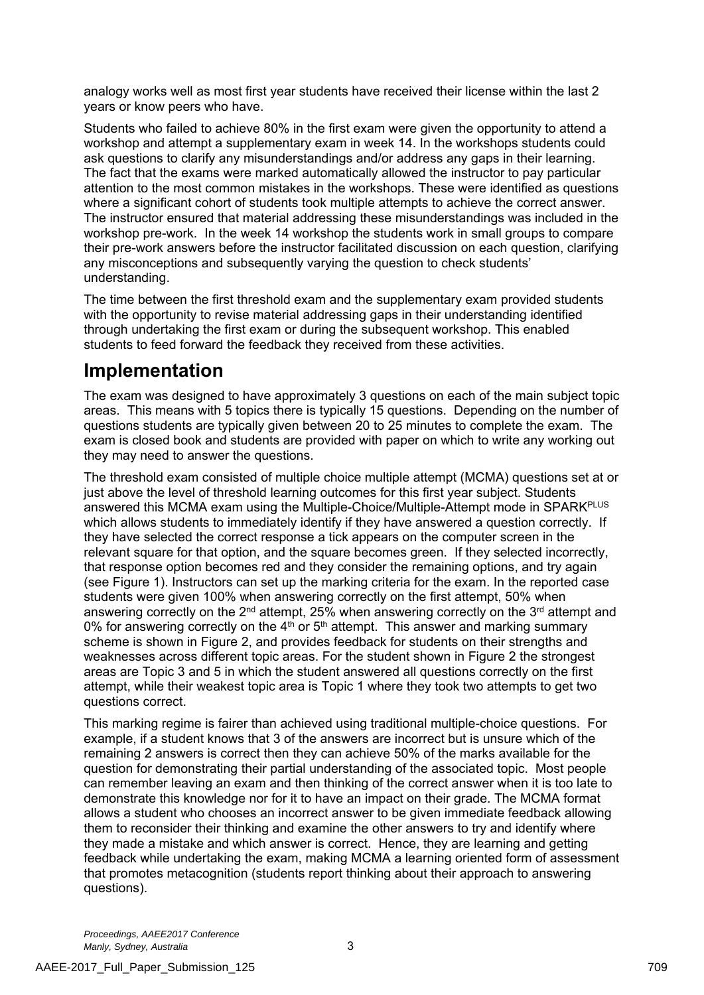analogy works well as most first year students have received their license within the last 2 years or know peers who have.

Students who failed to achieve 80% in the first exam were given the opportunity to attend a workshop and attempt a supplementary exam in week 14. In the workshops students could ask questions to clarify any misunderstandings and/or address any gaps in their learning. The fact that the exams were marked automatically allowed the instructor to pay particular attention to the most common mistakes in the workshops. These were identified as questions where a significant cohort of students took multiple attempts to achieve the correct answer. The instructor ensured that material addressing these misunderstandings was included in the workshop pre-work. In the week 14 workshop the students work in small groups to compare their pre-work answers before the instructor facilitated discussion on each question, clarifying any misconceptions and subsequently varying the question to check students' understanding.

The time between the first threshold exam and the supplementary exam provided students with the opportunity to revise material addressing gaps in their understanding identified through undertaking the first exam or during the subsequent workshop. This enabled students to feed forward the feedback they received from these activities.

## **Implementation**

The exam was designed to have approximately 3 questions on each of the main subject topic areas. This means with 5 topics there is typically 15 questions. Depending on the number of questions students are typically given between 20 to 25 minutes to complete the exam. The exam is closed book and students are provided with paper on which to write any working out they may need to answer the questions.

The threshold exam consisted of multiple choice multiple attempt (MCMA) questions set at or just above the level of threshold learning outcomes for this first year subject. Students answered this MCMA exam using the Multiple-Choice/Multiple-Attempt mode in SPARK<sup>PLUS</sup> which allows students to immediately identify if they have answered a question correctly. If they have selected the correct response a tick appears on the computer screen in the relevant square for that option, and the square becomes green. If they selected incorrectly, that response option becomes red and they consider the remaining options, and try again (see Figure 1). Instructors can set up the marking criteria for the exam. In the reported case students were given 100% when answering correctly on the first attempt, 50% when answering correctly on the 2<sup>nd</sup> attempt, 25% when answering correctly on the 3<sup>rd</sup> attempt and 0% for answering correctly on the  $4<sup>th</sup>$  or  $5<sup>th</sup>$  attempt. This answer and marking summary scheme is shown in Figure 2, and provides feedback for students on their strengths and weaknesses across different topic areas. For the student shown in Figure 2 the strongest areas are Topic 3 and 5 in which the student answered all questions correctly on the first attempt, while their weakest topic area is Topic 1 where they took two attempts to get two questions correct.

This marking regime is fairer than achieved using traditional multiple-choice questions. For example, if a student knows that 3 of the answers are incorrect but is unsure which of the remaining 2 answers is correct then they can achieve 50% of the marks available for the question for demonstrating their partial understanding of the associated topic. Most people can remember leaving an exam and then thinking of the correct answer when it is too late to demonstrate this knowledge nor for it to have an impact on their grade. The MCMA format allows a student who chooses an incorrect answer to be given immediate feedback allowing them to reconsider their thinking and examine the other answers to try and identify where they made a mistake and which answer is correct. Hence, they are learning and getting feedback while undertaking the exam, making MCMA a learning oriented form of assessment that promotes metacognition (students report thinking about their approach to answering questions).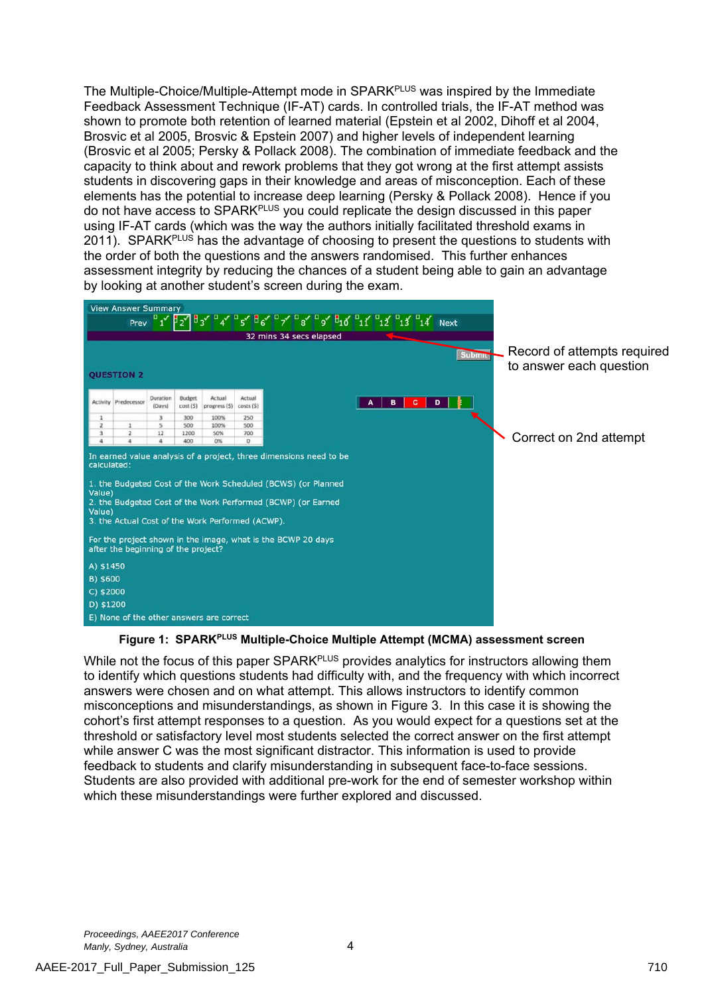The Multiple-Choice/Multiple-Attempt mode in SPARK<sup>PLUS</sup> was inspired by the Immediate Feedback Assessment Technique (IF-AT) cards. In controlled trials, the IF-AT method was shown to promote both retention of learned material (Epstein et al 2002, Dihoff et al 2004, Brosvic et al 2005, Brosvic & Epstein 2007) and higher levels of independent learning (Brosvic et al 2005; Persky & Pollack 2008). The combination of immediate feedback and the capacity to think about and rework problems that they got wrong at the first attempt assists students in discovering gaps in their knowledge and areas of misconception. Each of these elements has the potential to increase deep learning (Persky & Pollack 2008). Hence if you do not have access to SPARKPLUS you could replicate the design discussed in this paper using IF-AT cards (which was the way the authors initially facilitated threshold exams in 2011). SPARK<sup>PLUS</sup> has the advantage of choosing to present the questions to students with the order of both the questions and the answers randomised. This further enhances assessment integrity by reducing the chances of a student being able to gain an advantage by looking at another student's screen during the exam.

|                                 | <b>View Answer Summary</b>                                                                                                                                                                                                                        |                    |                            |                                          |                      |                                                                                                   |        |                                                        |
|---------------------------------|---------------------------------------------------------------------------------------------------------------------------------------------------------------------------------------------------------------------------------------------------|--------------------|----------------------------|------------------------------------------|----------------------|---------------------------------------------------------------------------------------------------|--------|--------------------------------------------------------|
|                                 |                                                                                                                                                                                                                                                   |                    |                            |                                          |                      | Prev $1'$ $1'$ $12'$ $13'$ $13'$ $14'$ $15'$ $16'$ $17'$ $18'$ $19'$ $11'$ $11'$ $13'$ $14'$ Next |        |                                                        |
|                                 |                                                                                                                                                                                                                                                   |                    |                            |                                          |                      | 32 mins 34 secs elapsed                                                                           |        |                                                        |
|                                 | <b>OUESTION 2</b>                                                                                                                                                                                                                                 |                    |                            |                                          |                      |                                                                                                   | Submit | Record of attempts required<br>to answer each question |
|                                 | <b>Activity Predecessor</b>                                                                                                                                                                                                                       | Duration<br>(Days) | <b>Budget</b><br>cost (\$) | Actual<br>progress (\$)                  | Actual<br>costs (\$) | в<br>А                                                                                            | c<br>D |                                                        |
| 1                               |                                                                                                                                                                                                                                                   |                    | 300                        | 100%                                     | 250                  |                                                                                                   |        |                                                        |
| $\overline{z}$                  |                                                                                                                                                                                                                                                   |                    | 500                        | 100%                                     | 500                  |                                                                                                   |        |                                                        |
| 3<br>4                          | $\mathbf{2}$<br>a.                                                                                                                                                                                                                                | 12                 | 1200<br>400                | 50%<br>0%                                | 700<br>$\circ$       |                                                                                                   |        | Correct on 2nd attempt                                 |
| calculated:<br>Value)<br>Value) | 1. the Budgeted Cost of the Work Scheduled (BCWS) (or Planned<br>2. the Budgeted Cost of the Work Performed (BCWP) (or Earned<br>3. the Actual Cost of the Work Performed (ACWP).<br>For the project shown in the image, what is the BCWP 20 days |                    |                            |                                          |                      |                                                                                                   |        |                                                        |
|                                 | after the beginning of the project?                                                                                                                                                                                                               |                    |                            |                                          |                      |                                                                                                   |        |                                                        |
| A) \$1450                       |                                                                                                                                                                                                                                                   |                    |                            |                                          |                      |                                                                                                   |        |                                                        |
| B) \$600                        |                                                                                                                                                                                                                                                   |                    |                            |                                          |                      |                                                                                                   |        |                                                        |
| C) \$2000                       |                                                                                                                                                                                                                                                   |                    |                            |                                          |                      |                                                                                                   |        |                                                        |
| D) \$1200                       |                                                                                                                                                                                                                                                   |                    |                            |                                          |                      |                                                                                                   |        |                                                        |
|                                 |                                                                                                                                                                                                                                                   |                    |                            | E) None of the other answers are correct |                      |                                                                                                   |        |                                                        |

#### **Figure 1: SPARKPLUS Multiple-Choice Multiple Attempt (MCMA) assessment screen**

While not the focus of this paper SPARK<sup>PLUS</sup> provides analytics for instructors allowing them to identify which questions students had difficulty with, and the frequency with which incorrect answers were chosen and on what attempt. This allows instructors to identify common misconceptions and misunderstandings, as shown in Figure 3. In this case it is showing the cohort's first attempt responses to a question. As you would expect for a questions set at the threshold or satisfactory level most students selected the correct answer on the first attempt while answer C was the most significant distractor. This information is used to provide feedback to students and clarify misunderstanding in subsequent face-to-face sessions. Students are also provided with additional pre-work for the end of semester workshop within which these misunderstandings were further explored and discussed.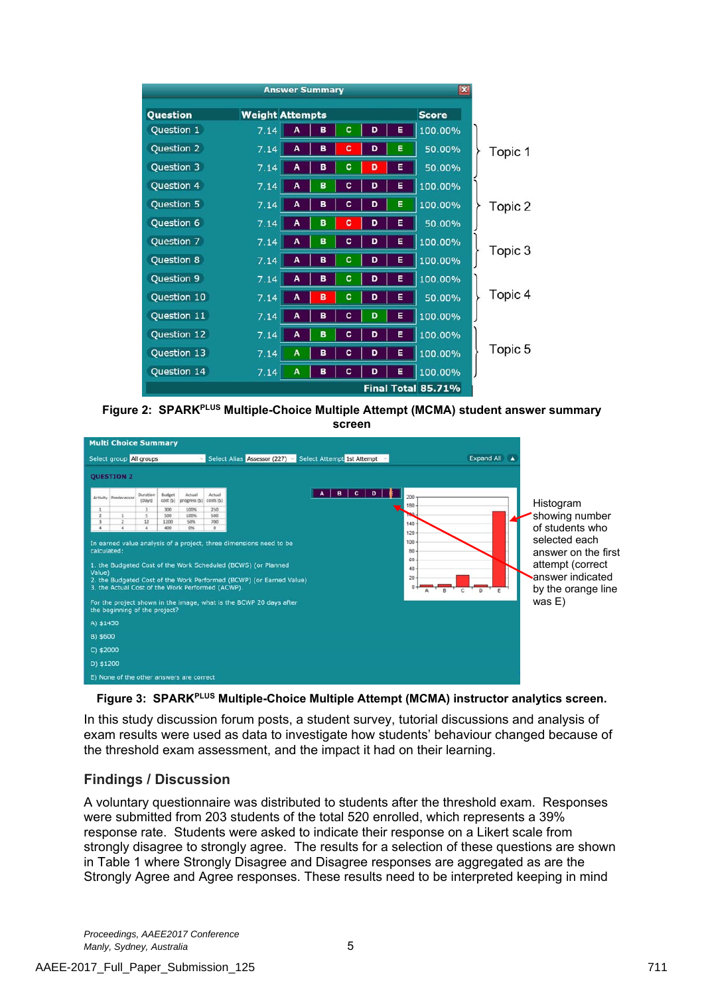|             |                        | <b>Answer Summary</b> |   |   |   |   | $\mathbf{x}$       |         |
|-------------|------------------------|-----------------------|---|---|---|---|--------------------|---------|
| Question    | <b>Weight Attempts</b> |                       |   |   |   |   | <b>Score</b>       |         |
| Question 1  | 7.14                   | A                     | в | c | D | Е | 100.00%            |         |
| Question 2  | 7.14                   | A                     | в | c | D | Е | 50.00%             | Topic 1 |
| Question 3  | 7.14                   | A                     | в | c | D | Е | 50.00%             |         |
| Question 4  | 7.14                   | A                     | B | c | D | Е | 100.00%            |         |
| Question 5  | 7.14                   | A                     | в | c | D | Е | 100.00%            | Topic 2 |
| Question 6  | 7.14                   | A                     | B | c | D | Е | 50.00%             |         |
| Question 7  | 7.14                   | A                     | B | c | D | E | 100.00%            |         |
| Question 8  | 7.14                   | A                     | B | c | D | Е | 100.00%            | Topic 3 |
| Question 9  | 7.14                   | A                     | в | c | D | Е | 100.00%            |         |
| Question 10 | 7.14                   | A                     | B | c | D | Е | 50.00%             | Topic 4 |
| Question 11 | 7.14                   | A                     | в | c | D | Е | 100.00%            |         |
| Question 12 | 7.14                   | A                     | B | c | D | Е | 100.00%            |         |
| Question 13 | 7.14                   | A                     | в | c | D | Ε | 100.00%            | Topic 5 |
| Question 14 | 7.14                   | A                     | в | c | D | Е | 100.00%            |         |
|             |                        |                       |   |   |   |   | Final Total 85.71% |         |





**Figure 3: SPARKPLUS Multiple-Choice Multiple Attempt (MCMA) instructor analytics screen.** 

In this study discussion forum posts, a student survey, tutorial discussions and analysis of exam results were used as data to investigate how students' behaviour changed because of the threshold exam assessment, and the impact it had on their learning.

### **Findings / Discussion**

A voluntary questionnaire was distributed to students after the threshold exam. Responses were submitted from 203 students of the total 520 enrolled, which represents a 39% response rate. Students were asked to indicate their response on a Likert scale from strongly disagree to strongly agree. The results for a selection of these questions are shown in Table 1 where Strongly Disagree and Disagree responses are aggregated as are the Strongly Agree and Agree responses. These results need to be interpreted keeping in mind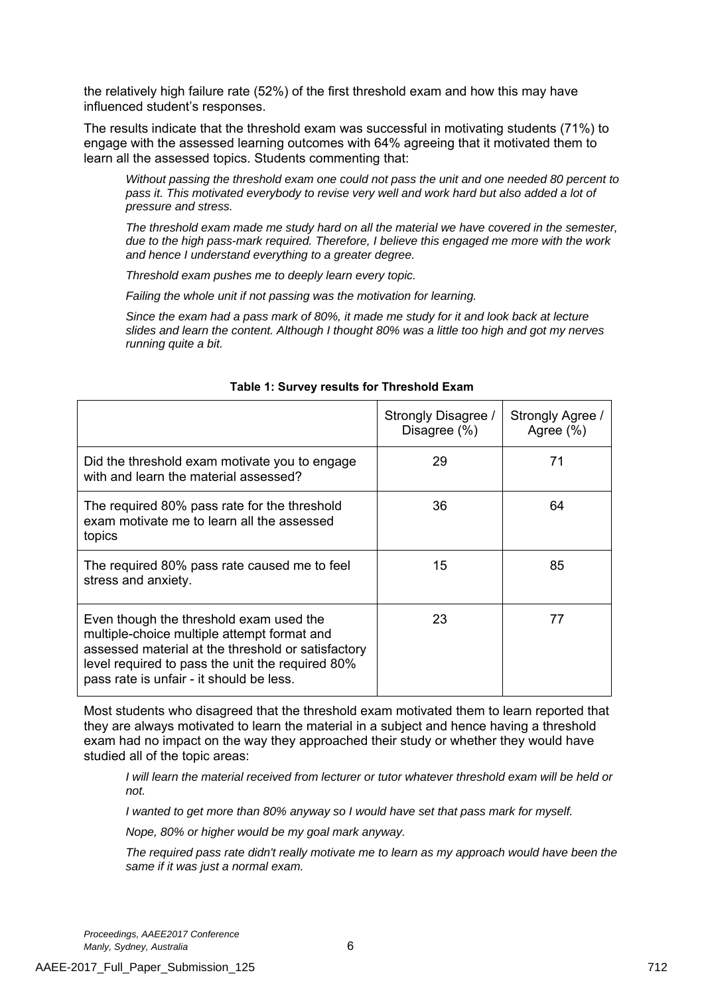the relatively high failure rate (52%) of the first threshold exam and how this may have influenced student's responses.

The results indicate that the threshold exam was successful in motivating students (71%) to engage with the assessed learning outcomes with 64% agreeing that it motivated them to learn all the assessed topics. Students commenting that:

*Without passing the threshold exam one could not pass the unit and one needed 80 percent to pass it. This motivated everybody to revise very well and work hard but also added a lot of pressure and stress.* 

*The threshold exam made me study hard on all the material we have covered in the semester, due to the high pass-mark required. Therefore, I believe this engaged me more with the work and hence I understand everything to a greater degree.* 

*Threshold exam pushes me to deeply learn every topic.* 

*Failing the whole unit if not passing was the motivation for learning.* 

*Since the exam had a pass mark of 80%, it made me study for it and look back at lecture slides and learn the content. Although I thought 80% was a little too high and got my nerves running quite a bit.* 

|                                                                                                                                                                                                                                              | Strongly Disagree /<br>Disagree (%) | Strongly Agree /<br>Agree $(\% )$ |
|----------------------------------------------------------------------------------------------------------------------------------------------------------------------------------------------------------------------------------------------|-------------------------------------|-----------------------------------|
| Did the threshold exam motivate you to engage<br>with and learn the material assessed?                                                                                                                                                       | 29                                  | 71                                |
| The required 80% pass rate for the threshold<br>exam motivate me to learn all the assessed<br>topics                                                                                                                                         | 36                                  | 64                                |
| The required 80% pass rate caused me to feel<br>stress and anxiety.                                                                                                                                                                          | 15                                  | 85                                |
| Even though the threshold exam used the<br>multiple-choice multiple attempt format and<br>assessed material at the threshold or satisfactory<br>level required to pass the unit the required 80%<br>pass rate is unfair - it should be less. | 23                                  | 77                                |

#### **Table 1: Survey results for Threshold Exam**

Most students who disagreed that the threshold exam motivated them to learn reported that they are always motivated to learn the material in a subject and hence having a threshold exam had no impact on the way they approached their study or whether they would have studied all of the topic areas:

*I will learn the material received from lecturer or tutor whatever threshold exam will be held or not.* 

*I* wanted to get more than 80% anyway so *I* would have set that pass mark for myself.

*Nope, 80% or higher would be my goal mark anyway.* 

*The required pass rate didn't really motivate me to learn as my approach would have been the same if it was just a normal exam.*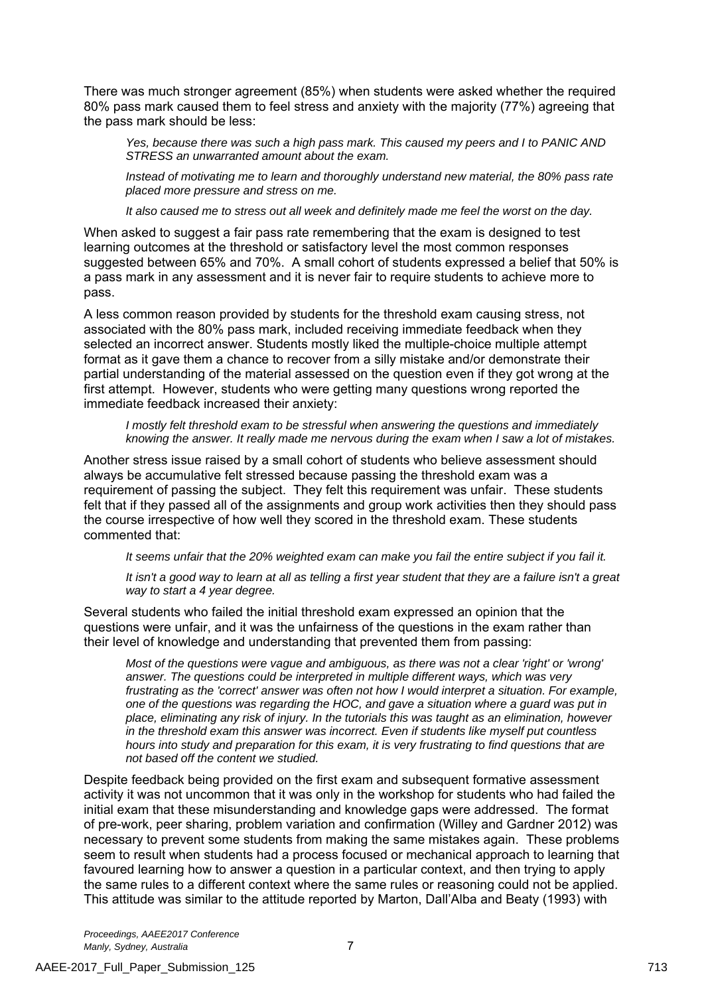There was much stronger agreement (85%) when students were asked whether the required 80% pass mark caused them to feel stress and anxiety with the majority (77%) agreeing that the pass mark should be less:

*Yes, because there was such a high pass mark. This caused my peers and I to PANIC AND STRESS an unwarranted amount about the exam.* 

*Instead of motivating me to learn and thoroughly understand new material, the 80% pass rate placed more pressure and stress on me.* 

*It also caused me to stress out all week and definitely made me feel the worst on the day.* 

When asked to suggest a fair pass rate remembering that the exam is designed to test learning outcomes at the threshold or satisfactory level the most common responses suggested between 65% and 70%. A small cohort of students expressed a belief that 50% is a pass mark in any assessment and it is never fair to require students to achieve more to pass.

A less common reason provided by students for the threshold exam causing stress, not associated with the 80% pass mark, included receiving immediate feedback when they selected an incorrect answer. Students mostly liked the multiple-choice multiple attempt format as it gave them a chance to recover from a silly mistake and/or demonstrate their partial understanding of the material assessed on the question even if they got wrong at the first attempt. However, students who were getting many questions wrong reported the immediate feedback increased their anxiety:

*I mostly felt threshold exam to be stressful when answering the questions and immediately knowing the answer. It really made me nervous during the exam when I saw a lot of mistakes.* 

Another stress issue raised by a small cohort of students who believe assessment should always be accumulative felt stressed because passing the threshold exam was a requirement of passing the subject. They felt this requirement was unfair. These students felt that if they passed all of the assignments and group work activities then they should pass the course irrespective of how well they scored in the threshold exam. These students commented that:

*It seems unfair that the 20% weighted exam can make you fail the entire subject if you fail it.* 

*It isn't a good way to learn at all as telling a first year student that they are a failure isn't a great way to start a 4 year degree.* 

Several students who failed the initial threshold exam expressed an opinion that the questions were unfair, and it was the unfairness of the questions in the exam rather than their level of knowledge and understanding that prevented them from passing:

*Most of the questions were vague and ambiguous, as there was not a clear 'right' or 'wrong' answer. The questions could be interpreted in multiple different ways, which was very*  frustrating as the 'correct' answer was often not how I would interpret a situation. For example, *one of the questions was regarding the HOC, and gave a situation where a guard was put in place, eliminating any risk of injury. In the tutorials this was taught as an elimination, however in the threshold exam this answer was incorrect. Even if students like myself put countless hours into study and preparation for this exam, it is very frustrating to find questions that are not based off the content we studied.* 

Despite feedback being provided on the first exam and subsequent formative assessment activity it was not uncommon that it was only in the workshop for students who had failed the initial exam that these misunderstanding and knowledge gaps were addressed. The format of pre-work, peer sharing, problem variation and confirmation (Willey and Gardner 2012) was necessary to prevent some students from making the same mistakes again. These problems seem to result when students had a process focused or mechanical approach to learning that favoured learning how to answer a question in a particular context, and then trying to apply the same rules to a different context where the same rules or reasoning could not be applied. This attitude was similar to the attitude reported by Marton, Dall'Alba and Beaty (1993) with